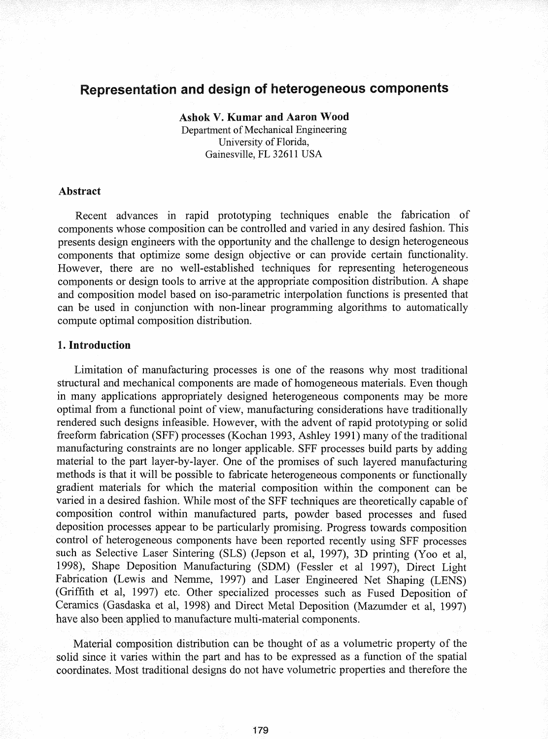# Representation and design of heterogeneous components

Ashok V. Kumar and Aaron Wood Department of Mechanical Engineering University of Florida, Gainesville, FL 32611 USA

### Abstract

Recent advances in rapid prototyping techniques enable the fabrication of components whose composition can be controlled and varied in any desired fashion. This presents design engineers with the opportunity and the challenge to design heterogeneous components that optimize some design objective or can. provide certain functionality. However, there are no well-established techniques for representing heterogeneous components or design tools to arrive at the appropriate composition distribution. A shape and composition model based on iso-parametric interpolation functions is presented that can be used in conjunction with non-linear programming algorithms to automatically compute optimal composition distribution.

#### 1. Introduction

Limitation of manufacturing processes is one of the reasons why most traditional structural and mechanical components are made of homogeneous materials. Even though in many applications appropriately designed heterogeneous components may be more optimal from a functional point of view, manufacturing considerations have traditionally rendered such designs infeasible. However, with the advent of rapid prototyping or solid freeform fabrication (SFF) processes (Kochan 1993, Ashley 1991) many of the traditional manufacturing constraints are no longer applicable. SFF processes build parts by adding material to the part layer-by-layer. One of the promises of such layered manufacturing methods is that it will be possible to fabricate heterogeneous components or functionally gradient materials for which the material composition within the component can be varied in a desired fashion. While most of the SFF techniques are theoretically capable of composition control within. manufactured parts, powder •based processes and fused deposition processes appear to be particularly promising. Progress towards composition control of heterogeneous components have been reported. recently using SFF processes such as Selective Laser Sintering (SLS) (Jepson et aI, 1997), 3D printing (Yoo et aI, 1998), Shape Deposition Manufacturing (SDM) (Fessler et al 1997), Direct Light Fabrication (Lewis and Nemme, 1997) and Laser Engineered Net Shaping (LENS) (Griffith et aI, 1997) etc. Other specialized processes such as Fused Deposition of Ceramics (Gasdaska et al, 1998) and Direct Metal Deposition (Mazumder et al, 1997) have also been applied to manufacture multi-material components.

Material composition distribution can. be thought of as a volumetric property of the solid since it varies within the part and has to be expressed as a function of the spatial coordinates. Most traditional designs do not have volumetric properties and therefore the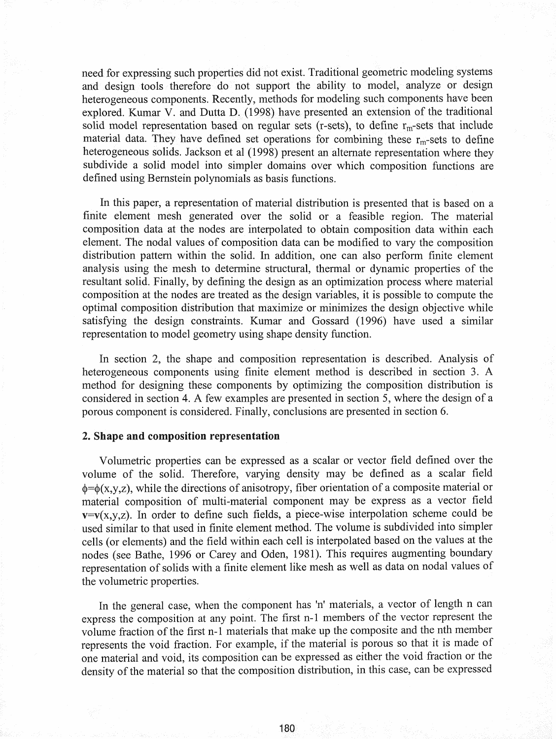need for expressing such properties did not exist. Traditional geometric modeling systems and design tools therefore do not support the ability to model, analyze or design heterogeneous components. Recently, methods for modeling such components have been explored. Kumar V. and Dutta D. (1998) have presented an extension of the traditional solid model representation based on regular sets (r-sets), to define  $r_m$ -sets that include material data. They have defined set operations for combining these  $r_m$ -sets to define heterogeneous solids. Jackson et al (1998) present an alternate representation where they subdivide a solid model into simpler domains over which composition functions are defined using Bernstein polynomials as basis functions.

In this paper, a representation of material distribution is presented that is based on a finite element mesh generated over the solid or a feasible region. The material composition data at the nodes are interpolated to obtain composition data within each element. The nodal values of composition data can be modified to vary the composition distribution pattern within the solid. In addition, one can also perform finite element analysis using the mesh to determine structural, thermal or dynamic properties of the resultant solid. Finally, by defining the design as an optimization process where material composition at the nodes are treated as the design variables, it is possible to compute the optimal composition distribution that maximize or minimizes the design objective while satisfying the design constraints. Kumar and Gossard (1996) have used a similar representation to model geometry using shape density function.

In section 2, the shape and composition representation is described. Analysis of heterogeneous components using finite element method is described in section 3. A method for designing these components by optimizing the composition distribution is considered in section 4. A few examples are presented in section 5, where the design of a porous component is considered. Finally, conclusions are presented in section 6.

### 2. Shape and composition representation

Volumetric properties can be expressed as a scalar or vector field defined over the volume of the solid. Therefore, varying density may be defined as a scalar field  $\phi = \phi(x,y,z)$ , while the directions of anisotropy, fiber orientation of a composite material or material composition of multi-material component may be express as a vector field  $v=v(x,y,z)$ . In order to define such fields, a piece-wise interpolation scheme could be used similar to that used in finite element method. The volume is subdivided into simpler cells (or elements) and the field within each cell is interpolated based on the values at the nodes (see Bathe, 1996 or Carey and Oden, 1981). This requires augmenting boundary representation of solids with a finite element like mesh as well as data on nodal values of the volumetric properties.

In the general case, when the component has 'n' materials, a vector of length n can express the composition at any point. The first n-l members of the vector represent the volume fraction of the first n-1 materials that make up the composite and the nth member represents the void fraction. For example, if the material is porous so that it is made of one material and void, its composition can be expressed as either the void fraction or the density of the material so that the composition distribution, in this case, can be expressed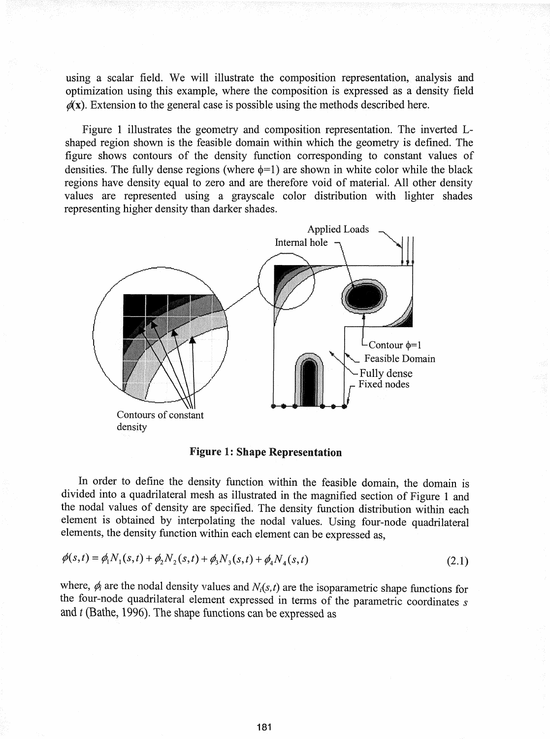using a scalar field. We will illustrate the composition representation, analysis and optimization using this example, where the composition is expressed as a density field  $\mathscr{U}(x)$ . Extension to the general case is possible using the methods described here.

Figure 1 illustrates the geometry and composition representation. The inverted Lshaped region shown is the feasible domain within which the geometry is defined. The figure shows contours of the density function corresponding to constant values of densities. The fully dense regions (where  $\phi=1$ ) are shown in white color while the black regions have density equal to zero and are therefore void of material. All other density values are represented using a grayscale color distribution with lighter shades representing higher density than darker shades.



Figure 1: Shape Representation

In order to define the density function. within the feasible domain, the domain is divided into a quadrilateral mesh as illustrated in the magnified section of Figure 1 and the nodal values of density are specified. The density function distribution within each element is obtained by interpolating the nodal values. Using four-node quadrilateral elements, the density function within each element can be expressed as,

$$
\phi(s,t) = \phi_1 N_1(s,t) + \phi_2 N_2(s,t) + \phi_3 N_3(s,t) + \phi_4 N_4(s,t)
$$
\n(2.1)

where,  $\phi_i$  are the nodal density values and  $N_i(s,t)$  are the isoparametric shape functions for the four-node quadrilateral element expressed in terms of the parametric coordinates *s* and *t* (Bathe, 1996). The shape functions can be expressed as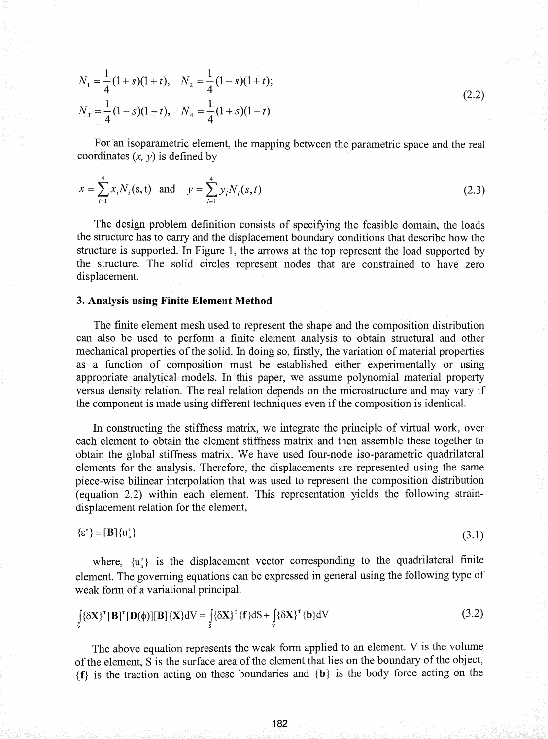$$
N_1 = \frac{1}{4}(1+s)(1+t), \quad N_2 = \frac{1}{4}(1-s)(1+t);
$$
  
\n
$$
N_3 = \frac{1}{4}(1-s)(1-t), \quad N_4 = \frac{1}{4}(1+s)(1-t)
$$
\n(2.2)

For an isoparametric element, the mapping between the parametric space and the real coordinates  $(x, y)$  is defined by

$$
x = \sum_{i=1}^{4} x_i N_i(s, t) \text{ and } y = \sum_{i=1}^{4} y_i N_i(s, t)
$$
 (2.3)

The design problem definition consists of specifying the feasible domain, the loads the structure has to carry and the displacement boundary conditions that describe how the structure is supported. In Figure 1, the arrows at the top represent the load supported by the structure. The solid circles represent nodes that are constrained to have zero displacement.

# 3. Analysis using Finite Element Method

The finite element mesh used to represent the shape and the composition distribution can also be used to perform a finite element analysis to obtain structural and other mechanical properties of the solid. In doing so, firstly, the variation of material properties as a function of composition must be established either experimentally or using appropriate analytical models. In this paper, we assume polynomial material property versus density relation. The real relation depends on the microstructure and may vary if the component is made using different techniques even if the composition is identical.

In constructing the stiffness matrix, we integrate the principle of virtual work, over each element to obtain the element stiffness matrix and then assemble these together to obtain the global stiffness matrix. We have used four-node iso-parametric quadrilateral elements for the analysis. Therefore, the displacements are represented using the same piece-wise bilinear interpolation that was used to represent the composition distribution (equation 2.2) within each element. This representation yields the following straindisplacement relation for the element,

$$
\{\varepsilon^{\mathfrak{e}}\} = [\mathbf{B}]\{u_{\mathfrak{n}}^{\mathfrak{e}}\}\tag{3.1}
$$

where,  $\{u_{n}^{\epsilon}\}\$  is the displacement vector corresponding to the quadrilateral finite element. The governing equations can be expressed in general using the following type of weak form of a variational principal.

$$
\int_{V} {\delta X}^T [\mathbf{B}]^T [\mathbf{D}(\phi)][\mathbf{B}] {\{X\}} dV = \int_{S} {\delta X}^T {\{f\}} dS + \int_{V} {\delta X}^T {\{b\}} dV
$$
\n(3.2)

The above equation represents the weak form applied to an element. V is the volume of the element, S is the surface area of the element that lies on the boundary of the object,  ${f}$  is the traction acting on these boundaries and  ${b}$  is the body force acting on the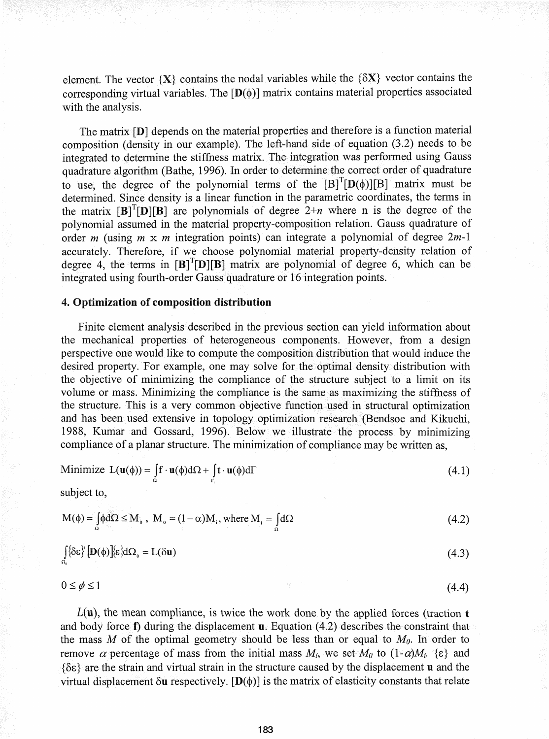element. The vector  $\{X\}$  contains the nodal variables while the  $\{\delta X\}$  vector contains the corresponding virtual variables. The  $[D(\phi)]$  matrix contains material properties associated with the analysis.

The matrix<sup>[D]</sup> depends on the material properties and therefore is a function material composition (density in our example). The left-hand side of equation (3.2) needs to be integrated to determine the stiffness matrix. The integration was performed using Gauss quadrature algorithm (Bathe, 1996). In order to determine the correct order of quadrature to use, the degree of the polynomial terms of the  $[B]^{T}[D(\phi)][B]$  matrix must be determined. Since density is a linear function in the parametric coordinates, the terms in the matrix  $[B]^T[D][B]$  are polynomials of degree  $2+n$  where n is the degree of the polynomial assumed in the material property-composition relation. Gauss quadrature of order *m* (using *m* x *m* integration points) can integrate a polynomial of degree *2m-1* accurately. Therefore, if we choose polynomial material property-density relation of degree 4, the terms in  $[B]^{T}[D][B]$  matrix are polynomial of degree 6, which can be integrated using fourth-order Gauss quadrature or 16 integration points.

# 4. Optimization **of** composition distribution

Finite element analysis described in the previous section can yield information about the mechanical properties of heterogeneous components. However, from a design perspective one would like to compute the composition.distribution that would induce the desired property. For example, one may solve for the optimal density distribution with the objective of minimizing the compliance of the structure subject to a limit on its volume or mass. Minimizing the compliance is the same as maximizing the stiffness of the structure. This is a very common objective function used in structural optimization and has been used extensive in topology optimization research (Bendsoe and Kikuchi, 1988, Kumar and Gossard, 1996). BeloW we illustrate the process by minimizing compliance of a planar structure. The minimization of compliance may be written as,

Minimize 
$$
L(\mathbf{u}(\phi)) = \int_{\Omega} \mathbf{f} \cdot \mathbf{u}(\phi) d\Omega + \int_{\Gamma_i} \mathbf{t} \cdot \mathbf{u}(\phi) d\Gamma
$$
 (4.1)

subject to,

$$
M(\phi) = \int_{\Omega} \phi d\Omega \le M_0, \quad M_0 = (1 - \alpha) M_1, \quad \text{where } M_i = \int_{\Omega} d\Omega \tag{4.2}
$$

$$
\int_{\Omega_0} {\delta \varepsilon}^1 \left[ \mathbf{D}(\phi) \right] {\varepsilon} d\Omega_0 = L(\delta \mathbf{u}) \tag{4.3}
$$

(4.4)

 $0 \leq \phi \leq 1$ 

 $L(\mathbf{u})$ , the mean compliance, is twice the work done by the applied forces (traction t and body force  $f$ ) during the displacement **u**. Equation (4.2) describes the constraint that the mass  $M$  of the optimal geometry should be less than or equal to  $M_0$ . In order to remove  $\alpha$  percentage of mass from the initial mass  $M_i$ , we set  $M_0$  to  $(1-\alpha)M_i$ .  $\{\epsilon\}$  and {OE} are the strain and virtual strain in the structure caused by the displacement u and the virtual displacement  $\delta$ **u** respectively. [D( $\phi$ )] is the matrix of elasticity constants that relate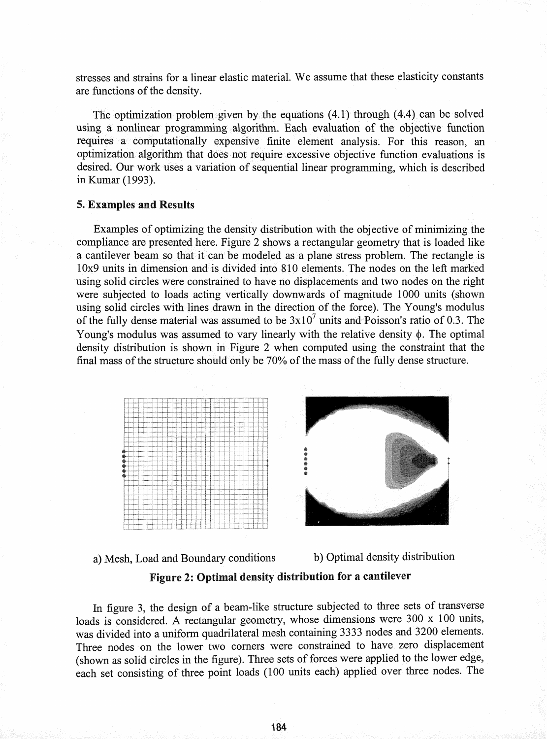stresses and strains for a linear elastic material. We assume that these elasticity constants are functions of the density.

The optimization problem given by the equations  $(4.1)$  through  $(4.4)$  can be solved using a nonlinear programming algorithm. Each evaluation of the objective function requires a computationally expensive finite element analysis. For this reason, an optimization algorithm that does not require excessive objective function evaluations is desired. Our work uses a variation of sequential linear programming, which is described in Kumar (1993).

## 5. Examples and Results

Examples of optimizing the density distribution with the objective of minimizing the compliance are presented here. Figure 2 shows a rectangular geometry that is loaded like a cantilever beam so that it can be modeled as a plane stress problem. The rectangle is 10x9 units in dimension andis divided into 810 elements. The nodes on the left marked using solid circles were constrained to have no displacements and two nodes on the right were subjected to loads acting vertically downwards of magnitude 1000 units (shown using solid circles with lines drawn in the direction of the force). The Young's modulus of the fully dense material was assumed to be  $3x10<sup>7</sup>$  units and Poisson's ratio of 0.3. The Young's modulus was assumed to vary linearly with the relative density  $\phi$ . The optimal density distribution is shown. in Figure 2 when computed using the constraint that the final mass of the structure should only be 70% of the mass of the fully dense structure.





# Figure 2: Optimal density distribution for a cantilever

In figure 3, the design of a beam-like structure subjected to three sets of transverse loads is considered. A rectangular geometry, whose dimensions were 300 x 100 units, was divided into a uniform quadrilateral mesh containing 3333 nodes and 3200 elements. Three nodes on the lower two comers were constrained to have zero displacement (shown as solid circles in the figure). Three sets of forces were applied to the lower edge, each set consisting of three point loads (100 units each) applied over three nodes. The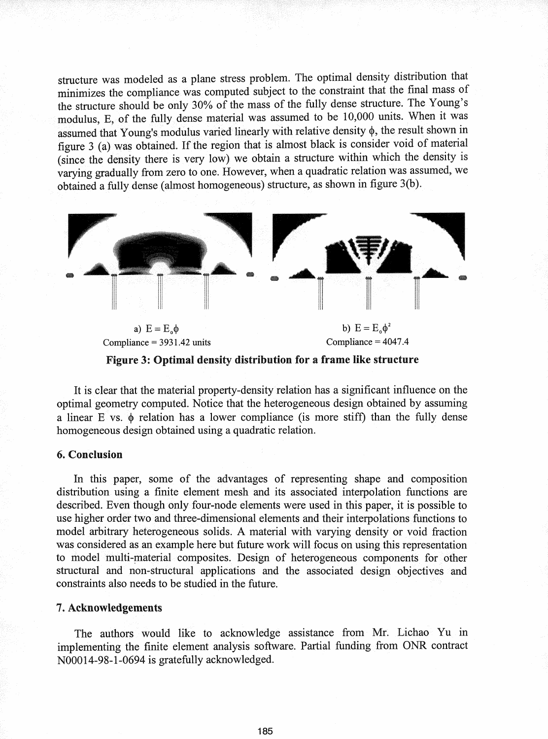structure was modeled as a plane stress problem. The optimal density distribution that minimizes the compliance was. computed subject to the constraint that the final mass of the structure should be only 30% of the mass of the fully dense structure. The Young's modulus, E, of the fully dense material was assumed to be 10,000 units. When it was assumed that Young's modulus varied linearly with relative density  $\phi$ , the result shown in figure 3 (a) was obtained. If the region that is almost black is consider void of material (since the density there is very low) we obtain a structure within which the density is varying gradually from zero to one. However, when a quadratic relation was assumed, we obtained a fully dense (almost homogeneous) structure, as shown in figure 3(b).



Figure 3: Optimal density distribution for a frame like structure

It is clear that the material property-density relation has a significant influence on the optimal geometry computed. Notice that the heterogeneous design obtained by assuming a linear  $E$  vs.  $\phi$  relation has a lower compliance (is more stiff) than the fully dense homogeneous design obtained using a. quadratic relation.

# 6. Conclusion

In this paper, some of the advantages of representing shape and composition distribution using a finite element mesh and its associated interpolation functions are described. Even though only four-node elements were used in this paper, it is possible to use higher order two and three-dimensional elements and their interpolations functions to model arbitrary heterogeneous solids. A material with varying density or void fraction was considered as an example here but future work will focus on using this representation to model multi-material composites. Design of heterogeneous components for other structural and non-structural applications and the associated design objectives and constraints also needs to be studied in the future.

# 7. Acknowledgements

The authors would like to acknowledge assistance from Mr. Lichao Yu in implementing the finite element analysis software. Partial funding from ONR contract NOOO14-98-1-0694 is gratefully acknowledged.